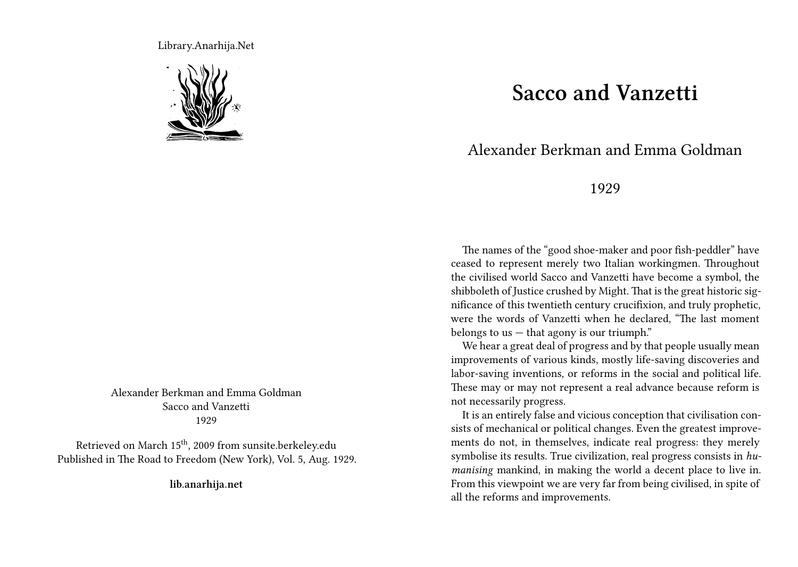Library.Anarhija.Net



Alexander Berkman and Emma Goldman Sacco and Vanzetti 1929

Retrieved on March 15th, 2009 from sunsite.berkeley.edu Published in The Road to Freedom (New York), Vol. 5, Aug. 1929.

**lib.anarhija.net**

## **Sacco and Vanzetti**

## Alexander Berkman and Emma Goldman

## 1929

The names of the "good shoe-maker and poor fish-peddler" have ceased to represent merely two Italian workingmen. Throughout the civilised world Sacco and Vanzetti have become a symbol, the shibboleth of Justice crushed by Might. That is the great historic significance of this twentieth century crucifixion, and truly prophetic, were the words of Vanzetti when he declared, "The last moment belongs to us  $-$  that agony is our triumph."

We hear a great deal of progress and by that people usually mean improvements of various kinds, mostly life-saving discoveries and labor-saving inventions, or reforms in the social and political life. These may or may not represent a real advance because reform is not necessarily progress.

It is an entirely false and vicious conception that civilisation consists of mechanical or political changes. Even the greatest improvements do not, in themselves, indicate real progress: they merely symbolise its results. True civilization, real progress consists in *humanising* mankind, in making the world a decent place to live in. From this viewpoint we are very far from being civilised, in spite of all the reforms and improvements.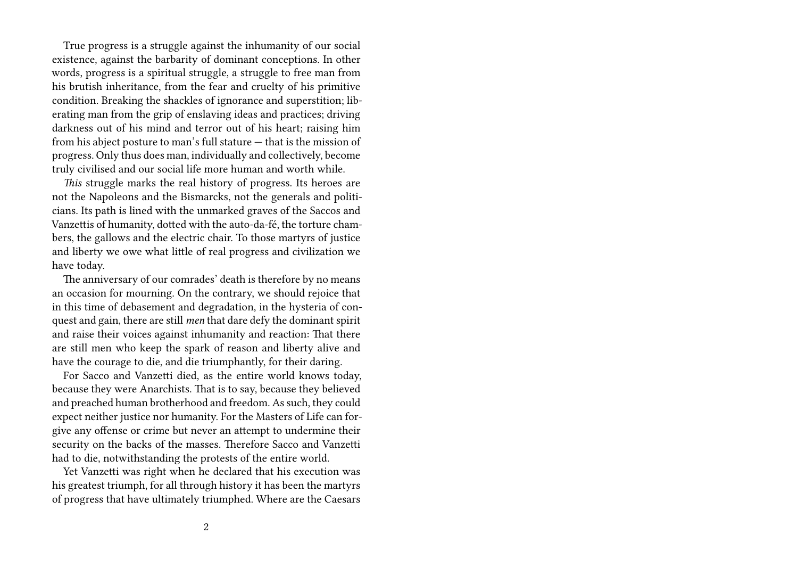True progress is a struggle against the inhumanity of our social existence, against the barbarity of dominant conceptions. In other words, progress is a spiritual struggle, a struggle to free man from his brutish inheritance, from the fear and cruelty of his primitive condition. Breaking the shackles of ignorance and superstition; liberating man from the grip of enslaving ideas and practices; driving darkness out of his mind and terror out of his heart; raising him from his abject posture to man's full stature — that is the mission of progress. Only thus does man, individually and collectively, become truly civilised and our social life more human and worth while.

*This* struggle marks the real history of progress. Its heroes are not the Napoleons and the Bismarcks, not the generals and politicians. Its path is lined with the unmarked graves of the Saccos and Vanzettis of humanity, dotted with the auto-da-fé, the torture chambers, the gallows and the electric chair. To those martyrs of justice and liberty we owe what little of real progress and civilization we have today.

The anniversary of our comrades' death is therefore by no means an occasion for mourning. On the contrary, we should rejoice that in this time of debasement and degradation, in the hysteria of conquest and gain, there are still *men* that dare defy the dominant spirit and raise their voices against inhumanity and reaction: That there are still men who keep the spark of reason and liberty alive and have the courage to die, and die triumphantly, for their daring.

For Sacco and Vanzetti died, as the entire world knows today, because they were Anarchists. That is to say, because they believed and preached human brotherhood and freedom. As such, they could expect neither justice nor humanity. For the Masters of Life can forgive any offense or crime but never an attempt to undermine their security on the backs of the masses. Therefore Sacco and Vanzetti had to die, notwithstanding the protests of the entire world.

Yet Vanzetti was right when he declared that his execution was his greatest triumph, for all through history it has been the martyrs of progress that have ultimately triumphed. Where are the Caesars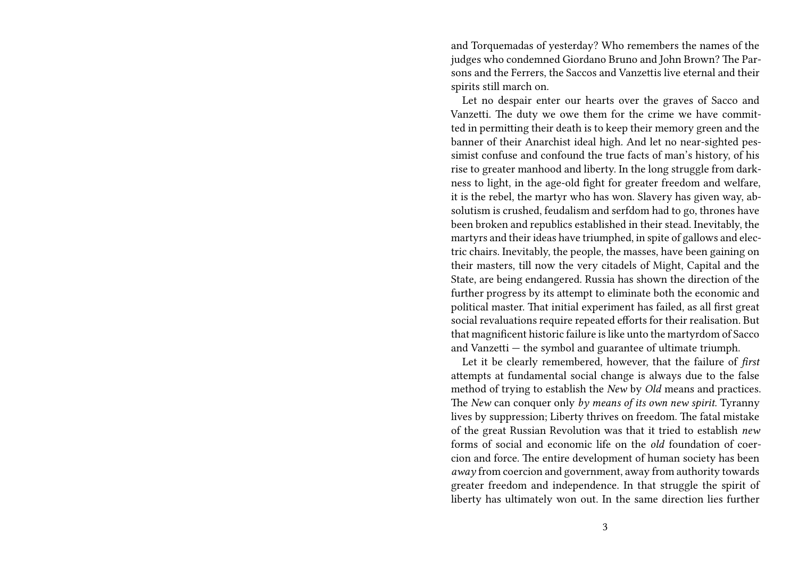and Torquemadas of yesterday? Who remembers the names of the judges who condemned Giordano Bruno and John Brown? The Parsons and the Ferrers, the Saccos and Vanzettis live eternal and their spirits still march on.

Let no despair enter our hearts over the graves of Sacco and Vanzetti. The duty we owe them for the crime we have committed in permitting their death is to keep their memory green and the banner of their Anarchist ideal high. And let no near-sighted pessimist confuse and confound the true facts of man's history, of his rise to greater manhood and liberty. In the long struggle from darkness to light, in the age-old fight for greater freedom and welfare, it is the rebel, the martyr who has won. Slavery has given way, absolutism is crushed, feudalism and serfdom had to go, thrones have been broken and republics established in their stead. Inevitably, the martyrs and their ideas have triumphed, in spite of gallows and electric chairs. Inevitably, the people, the masses, have been gaining on their masters, till now the very citadels of Might, Capital and the State, are being endangered. Russia has shown the direction of the further progress by its attempt to eliminate both the economic and political master. That initial experiment has failed, as all first great social revaluations require repeated efforts for their realisation. But that magnificent historic failure is like unto the martyrdom of Sacco and Vanzetti — the symbol and guarantee of ultimate triumph.

Let it be clearly remembered, however, that the failure of *first* attempts at fundamental social change is always due to the false method of trying to establish the *New* by *Old* means and practices. The *New* can conquer only *by means of its own new spirit*. Tyranny lives by suppression; Liberty thrives on freedom. The fatal mistake of the great Russian Revolution was that it tried to establish *new* forms of social and economic life on the *old* foundation of coercion and force. The entire development of human society has been *away* from coercion and government, away from authority towards greater freedom and independence. In that struggle the spirit of liberty has ultimately won out. In the same direction lies further